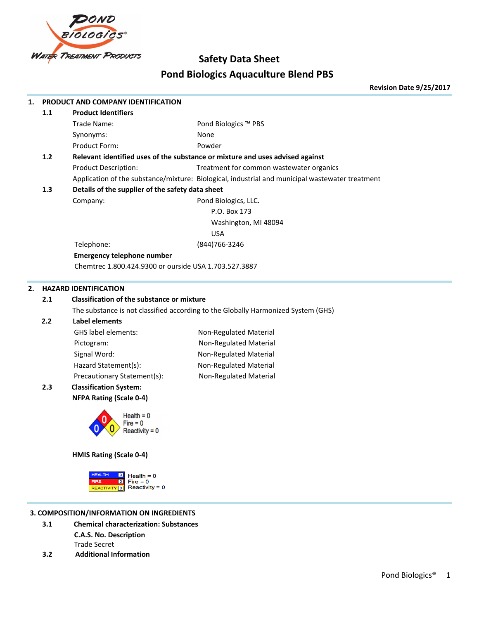

# **Safety Data Sheet Pond Biologics Aquaculture Blend PBS**

**Revision Date 9/25/2017**

| 1. |                                                                                   | PRODUCT AND COMPANY IDENTIFICATION                                                                                   |                                                                                                 |
|----|-----------------------------------------------------------------------------------|----------------------------------------------------------------------------------------------------------------------|-------------------------------------------------------------------------------------------------|
|    | 1.1                                                                               | <b>Product Identifiers</b>                                                                                           |                                                                                                 |
|    |                                                                                   | Trade Name:                                                                                                          | Pond Biologics ™ PBS                                                                            |
|    |                                                                                   | Synonyms:                                                                                                            | None                                                                                            |
|    |                                                                                   | Product Form:                                                                                                        | Powder                                                                                          |
|    | $1.2$                                                                             |                                                                                                                      | Relevant identified uses of the substance or mixture and uses advised against                   |
|    |                                                                                   | <b>Product Description:</b>                                                                                          | Treatment for common wastewater organics                                                        |
|    |                                                                                   |                                                                                                                      | Application of the substance/mixture: Biological, industrial and municipal wastewater treatment |
|    | 1.3                                                                               | Details of the supplier of the safety data sheet                                                                     |                                                                                                 |
|    |                                                                                   | Company:                                                                                                             | Pond Biologics, LLC.                                                                            |
|    |                                                                                   |                                                                                                                      | P.O. Box 173                                                                                    |
|    |                                                                                   |                                                                                                                      | Washington, MI 48094                                                                            |
|    |                                                                                   |                                                                                                                      | <b>USA</b>                                                                                      |
|    |                                                                                   | Telephone:                                                                                                           | (844) 766-3246                                                                                  |
|    |                                                                                   | <b>Emergency telephone number</b>                                                                                    |                                                                                                 |
|    |                                                                                   | Chemtrec 1.800.424.9300 or ourside USA 1.703.527.3887                                                                |                                                                                                 |
| 2. |                                                                                   | <b>HAZARD IDENTIFICATION</b>                                                                                         |                                                                                                 |
|    | 2.1                                                                               | <b>Classification of the substance or mixture</b>                                                                    |                                                                                                 |
|    | The substance is not classified according to the Globally Harmonized System (GHS) |                                                                                                                      |                                                                                                 |
|    | 2.2                                                                               | <b>Label elements</b>                                                                                                |                                                                                                 |
|    |                                                                                   | GHS label elements:                                                                                                  | Non-Regulated Material                                                                          |
|    |                                                                                   | Pictogram:                                                                                                           | Non-Regulated Material                                                                          |
|    |                                                                                   | Signal Word:                                                                                                         | Non-Regulated Material                                                                          |
|    |                                                                                   | Hazard Statement(s):                                                                                                 | Non-Regulated Material                                                                          |
|    |                                                                                   | Precautionary Statement(s):                                                                                          | Non-Regulated Material                                                                          |
|    | 2.3                                                                               | <b>Classification System:</b>                                                                                        |                                                                                                 |
|    |                                                                                   | <b>NFPA Rating (Scale 0-4)</b>                                                                                       |                                                                                                 |
|    |                                                                                   | Health $= 0$<br><b>≀eactivitv = 0</b>                                                                                |                                                                                                 |
|    |                                                                                   | HMIS Rating (Scale 0-4)                                                                                              |                                                                                                 |
|    |                                                                                   | <b>HEALTH</b><br>$\circ$<br>Health = $0$<br>$\circ$<br>$Fire = 0$<br><b>FIRE</b><br>$Reactivity = 0$<br>REACTIVITY 0 |                                                                                                 |
|    |                                                                                   | 3. COMPOSITION/INFORMATION ON INGREDIENTS                                                                            |                                                                                                 |
|    | 3.1                                                                               | <b>Chemical characterization: Substances</b>                                                                         |                                                                                                 |
|    |                                                                                   |                                                                                                                      |                                                                                                 |

- **C.A.S. No. Description** Trade Secret
- **3.2 Additional Information**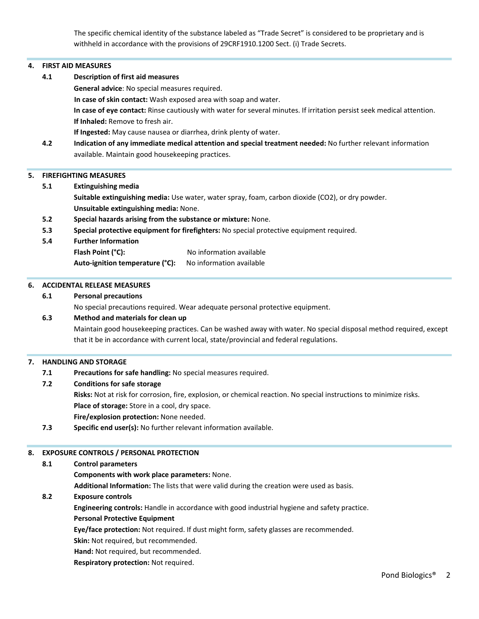The specific chemical identity of the substance labeled as "Trade Secret" is considered to be proprietary and is withheld in accordance with the provisions of 29CRF1910.1200 Sect. (i) Trade Secrets.

#### **4. FIRST AID MEASURES**

**4.1 Description of first aid measures General advice**: No special measures required.  **In case of skin contact:** Wash exposed area with soap and water. **In case of eye contact:** Rinse cautiously with water for several minutes. If irritation persist seek medical attention. **If Inhaled:** Remove to fresh air.

**If Ingested:** May cause nausea or diarrhea, drink plenty of water.

**4.2 Indication of any immediate medical attention and special treatment needed:** No further relevant information available. Maintain good housekeeping practices.

#### **5. FIREFIGHTING MEASURES**

**5.1 Extinguishing media**

**Suitable extinguishing media:** Use water, water spray, foam, carbon dioxide (CO2), or dry powder. **Unsuitable extinguishing media:** None.

- **5.2 Special hazards arising from the substance or mixture:** None.
- **5.3 Special protective equipment for firefighters:** No special protective equipment required.
- **5.4 Further Information**

**Flash Point (°C):** No information available

Auto-ignition temperature (°C): No information available

#### **6. ACCIDENTAL RELEASE MEASURES**

#### **6.1 Personal precautions**

No special precautions required. Wear adequate personal protective equipment.

#### **6.3 Method and materials for clean up**

Maintain good housekeeping practices. Can be washed away with water. No special disposal method required, except that it be in accordance with current local, state/provincial and federal regulations.

#### **7. HANDLING AND STORAGE**

**7.1 Precautions for safe handling:** No special measures required.

# **7.2 Conditions for safe storage**

**Risks:** Not at risk for corrosion, fire, explosion, or chemical reaction. No special instructions to minimize risks.

**Place of storage:** Store in a cool, dry space.

**Fire/explosion protection:** None needed.

**7.3 Specific end user(s):** No further relevant information available.

#### **8. EXPOSURE CONTROLS / PERSONAL PROTECTION**

## **8.1 Control parameters**

**Components with work place parameters:** None.

 **Additional Information:** The lists that were valid during the creation were used as basis.

#### **8.2 Exposure controls**

**Engineering controls:** Handle in accordance with good industrial hygiene and safety practice.

# **Personal Protective Equipment**

**Eye/face protection:** Not required. If dust might form, safety glasses are recommended.

**Skin:** Not required, but recommended.

**Hand:** Not required, but recommended.

**Respiratory protection:** Not required.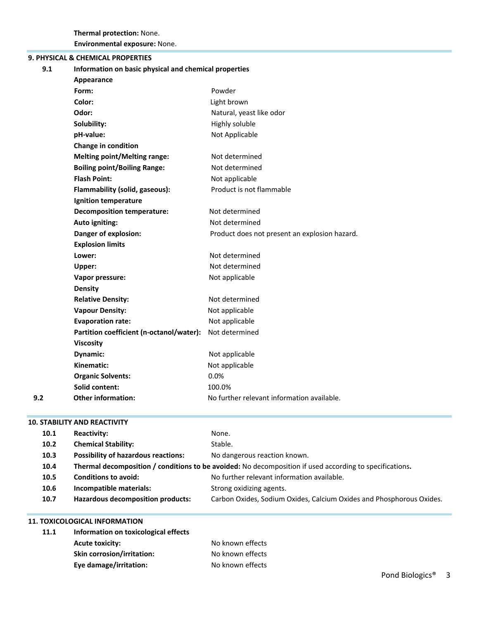# **9. PHYSICAL & CHEMICAL PROPERTIES**

| 9.1 | Information on basic physical and chemical properties |                                               |
|-----|-------------------------------------------------------|-----------------------------------------------|
|     | Appearance                                            |                                               |
|     | Form:                                                 | Powder                                        |
|     | Color:                                                | Light brown                                   |
|     | Odor:                                                 | Natural, yeast like odor                      |
|     | Solubility:                                           | Highly soluble                                |
|     | pH-value:                                             | Not Applicable                                |
|     | Change in condition                                   |                                               |
|     | <b>Melting point/Melting range:</b>                   | Not determined                                |
|     | <b>Boiling point/Boiling Range:</b>                   | Not determined                                |
|     | <b>Flash Point:</b>                                   | Not applicable                                |
|     | Flammability (solid, gaseous):                        | Product is not flammable                      |
|     | Ignition temperature                                  |                                               |
|     | <b>Decomposition temperature:</b>                     | Not determined                                |
|     | Auto igniting:                                        | Not determined                                |
|     | Danger of explosion:                                  | Product does not present an explosion hazard. |
|     | <b>Explosion limits</b>                               |                                               |
|     | Lower:                                                | Not determined                                |
|     | Upper:                                                | Not determined                                |
|     | Vapor pressure:                                       | Not applicable                                |
|     | <b>Density</b>                                        |                                               |
|     | <b>Relative Density:</b>                              | Not determined                                |
|     | <b>Vapour Density:</b>                                | Not applicable                                |
|     | <b>Evaporation rate:</b>                              | Not applicable                                |
|     | Partition coefficient (n-octanol/water):              | Not determined                                |
|     | <b>Viscosity</b>                                      |                                               |
|     | Dynamic:                                              | Not applicable                                |
|     | Kinematic:                                            | Not applicable                                |
|     | <b>Organic Solvents:</b>                              | 0.0%                                          |
|     | Solid content:                                        | 100.0%                                        |
| 9.2 | <b>Other information:</b>                             | No further relevant information available.    |
|     |                                                       |                                               |

# **10. STABILITY AND REACTIVITY**

| 10.1              | <b>Reactivity:</b>                         | None.                                                                                                   |
|-------------------|--------------------------------------------|---------------------------------------------------------------------------------------------------------|
| 10.2 <sub>1</sub> | <b>Chemical Stability:</b>                 | Stable.                                                                                                 |
| 10.3              | <b>Possibility of hazardous reactions:</b> | No dangerous reaction known.                                                                            |
| 10.4              |                                            | Thermal decomposition / conditions to be avoided: No decomposition if used according to specifications. |
| 10.5              | <b>Conditions to avoid:</b>                | No further relevant information available.                                                              |
| 10.6              | Incompatible materials:                    | Strong oxidizing agents.                                                                                |
| 10.7              | <b>Hazardous decomposition products:</b>   | Carbon Oxides, Sodium Oxides, Calcium Oxides and Phosphorous Oxides.                                    |

# **11. TOXICOLOGICAL INFORMATION**

| 11.1 | Information on toxicological effects |                  |  |
|------|--------------------------------------|------------------|--|
|      | <b>Acute toxicity:</b>               | No known effects |  |
|      | <b>Skin corrosion/irritation:</b>    | No known effects |  |
|      | Eye damage/irritation:               | No known effects |  |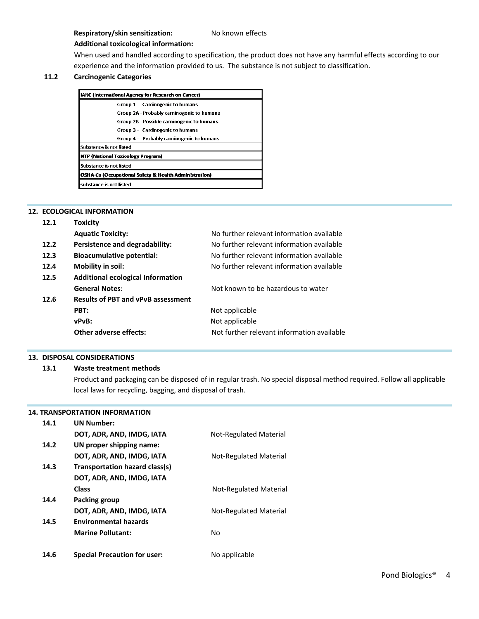# **Respiratory/skin sensitization:** No known effects

## **Additional toxicological information:**

When used and handled according to specification, the product does not have any harmful effects according to our experience and the information provided to us. The substance is not subject to classification.

# **11.2 Carcinogenic Categories**

| IARC (International Agency for Research on Cancer)    |                                            |
|-------------------------------------------------------|--------------------------------------------|
|                                                       | Group 1 - Carcinogenic to humans           |
|                                                       | Group 2A - Probably carninogenic to humans |
|                                                       | Group 2B - Possible caminogenic to humans  |
|                                                       | Group 3 - Carcinogenic to humans           |
|                                                       | Group 4 - Probably carninogenic to humans  |
| Substance is not listed                               |                                            |
| NTP (National Toxicology Program)                     |                                            |
| Substance is not listed                               |                                            |
| OSHA-Ca (Occupational Safety & Health Administration) |                                            |
| substance is not listed                               |                                            |

# **12. ECOLOGICAL INFORMATION**

| 12.1 | <b>Toxicity</b>                           |                                            |
|------|-------------------------------------------|--------------------------------------------|
|      | <b>Aquatic Toxicity:</b>                  | No further relevant information available  |
| 12.2 | Persistence and degradability:            | No further relevant information available  |
| 12.3 | <b>Bioacumulative potential:</b>          | No further relevant information available  |
| 12.4 | Mobility in soil:                         | No further relevant information available  |
| 12.5 | <b>Additional ecological Information</b>  |                                            |
|      | <b>General Notes:</b>                     | Not known to be hazardous to water         |
| 12.6 | <b>Results of PBT and vPvB assessment</b> |                                            |
|      | PBT:                                      | Not applicable                             |
|      | vPvB:                                     | Not applicable                             |
|      | Other adverse effects:                    | Not further relevant information available |
|      |                                           |                                            |

### **13. DISPOSAL CONSIDERATIONS**

# **13.1 Waste treatment methods**

Product and packaging can be disposed of in regular trash. No special disposal method required. Follow all applicable local laws for recycling, bagging, and disposal of trash.

# **14. TRANSPORTATION INFORMATION**

| 14.1 | <b>UN Number:</b>                   |                        |
|------|-------------------------------------|------------------------|
|      | DOT, ADR, AND, IMDG, IATA           | Not-Regulated Material |
| 14.2 | UN proper shipping name:            |                        |
|      | DOT, ADR, AND, IMDG, IATA           | Not-Regulated Material |
| 14.3 | Transportation hazard class(s)      |                        |
|      | DOT, ADR, AND, IMDG, IATA           |                        |
|      | <b>Class</b>                        | Not-Regulated Material |
| 14.4 | Packing group                       |                        |
|      | DOT, ADR, AND, IMDG, IATA           | Not-Regulated Material |
| 14.5 | <b>Environmental hazards</b>        |                        |
|      | <b>Marine Pollutant:</b>            | No                     |
|      |                                     |                        |
| 14.6 | <b>Special Precaution for user:</b> | No applicable          |